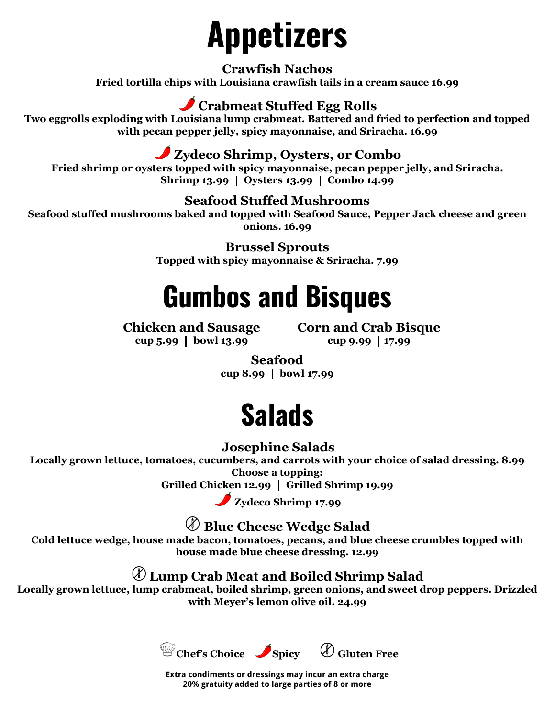# **Appetizers**

**Crawfish Nachos Fried tortilla chips with Louisiana crawfish tails in a cream sauce 16.99**

#### **Crabmeat Stuffed Egg Rolls**

**Two eggrolls exploding with Louisiana lump crabmeat. Battered and fried to perfection and topped with pecan pepper jelly, spicy mayonnaise, and Sriracha. 16.99**

#### **Zydeco Shrimp, Oysters, or Combo**

**Fried shrimp or oysters topped with spicy mayonnaise, pecan pepper jelly, and Sriracha. Shrimp 13.99** ┃ **Oysters 13.99** ┃ **Combo 14.99**

#### **Seafood Stuffed Mushrooms**

**Seafood stuffed mushrooms baked and topped with Seafood Sauce, Pepper Jack cheese and green onions. 16.99**

> **Brussel Sprouts Topped with spicy mayonnaise & Sriracha. 7.99**

# **Gumbos and Bisques**

#### **Chicken and Sausage cup 5.99** ┃ **bowl 13.99**

**Corn and Crab Bisque cup 9.99** ┃**17.99**

**Seafood cup 8.99** ┃ **bowl 17.99**

# **Salads**

#### **Josephine Salads**

**Locally grown lettuce, tomatoes, cucumbers, and carrots with your choice of salad dressing. 8.99 Choose a topping:**

**Grilled Chicken 12.99** ┃ **Grilled Shrimp 19.99**

**Zydeco Shrimp 17.99**

**Blue Cheese Wedge Salad**

**Cold lettuce wedge, house made bacon, tomatoes, pecans, and blue cheese crumbles topped with house made blue cheese dressing. 12.99**

#### **Lump Crab Meat and Boiled Shrimp Salad**

**Locally grown lettuce, lump crabmeat, boiled shrimp, green onions, and sweet drop peppers. Drizzled with Meyer's lemon olive oil. 24.99**



**Extra condiments or dressings may incur an extra charge 20% gratuity added to large parties of 8 or more**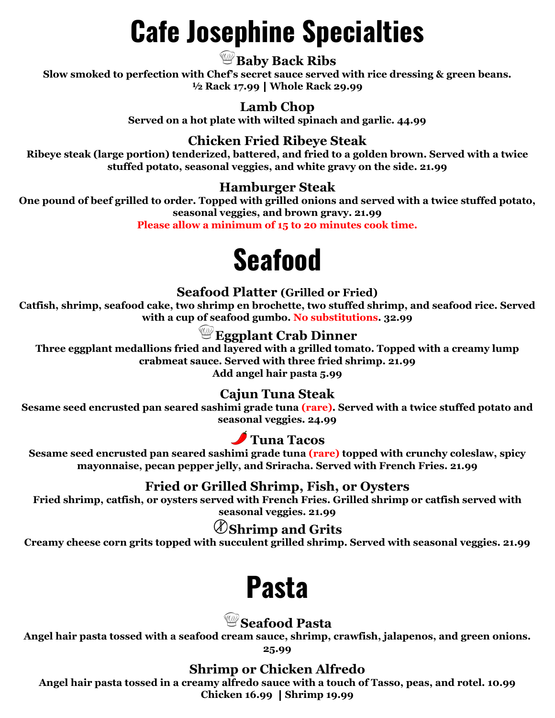# **Cafe Josephine Specialties**

#### **Baby Back Ribs**

**Slow smoked to perfection with Chef's secret sauce served with rice dressing & green beans. ½ Rack 17.99**┃**Whole Rack 29.99**

#### **Lamb Chop**

**Served on a hot plate with wilted spinach and garlic. 44.99**

#### **Chicken Fried Ribeye Steak**

**Ribeye steak (large portion) tenderized, battered, and fried to a golden brown. Served with a twice stuffed potato, seasonal veggies, and white gravy on the side. 21.99**

#### **Hamburger Steak**

**One pound of beef grilled to order. Topped with grilled onions and served with a twice stuffed potato, seasonal veggies, and brown gravy. 21.99**

**Please allow a minimum of 15 to 20 minutes cook time.**

# **Seafood**

#### **Seafood Platter (Grilled or Fried)**

**Catfish, shrimp, seafood cake, two shrimp en brochette, two stuffed shrimp, and seafood rice. Served with a cup of seafood gumbo. No substitutions. 32.99**

#### **Eggplant Crab Dinner**

**Three eggplant medallions fried and layered with a grilled tomato. Topped with a creamy lump crabmeat sauce. Served with three fried shrimp. 21.99 Add angel hair pasta 5.99**

#### **Cajun Tuna Steak**

**Sesame seed encrusted pan seared sashimi grade tuna (rare). Served with a twice stuffed potato and seasonal veggies. 24.99**

#### **Tuna Tacos**

**Sesame seed encrusted pan seared sashimi grade tuna (rare) topped with crunchy coleslaw, spicy mayonnaise, pecan pepper jelly, and Sriracha. Served with French Fries. 21.99**

#### **Fried or Grilled Shrimp, Fish, or Oysters**

**Fried shrimp, catfish, or oysters served with French Fries. Grilled shrimp or catfish served with seasonal veggies. 21.99**

**Shrimp and Grits**

**Creamy cheese corn grits topped with succulent grilled shrimp. Served with seasonal veggies. 21.99**

### **Pasta**

#### **Seafood Pasta**

**Angel hair pasta tossed with a seafood cream sauce, shrimp, crawfish, jalapenos, and green onions.**

**25.99**

#### **Shrimp or Chicken Alfredo**

**Angel hair pasta tossed in a creamy alfredo sauce with a touch of Tasso, peas, and rotel. 10.99 Chicken 16.99** ┃**Shrimp 19.99**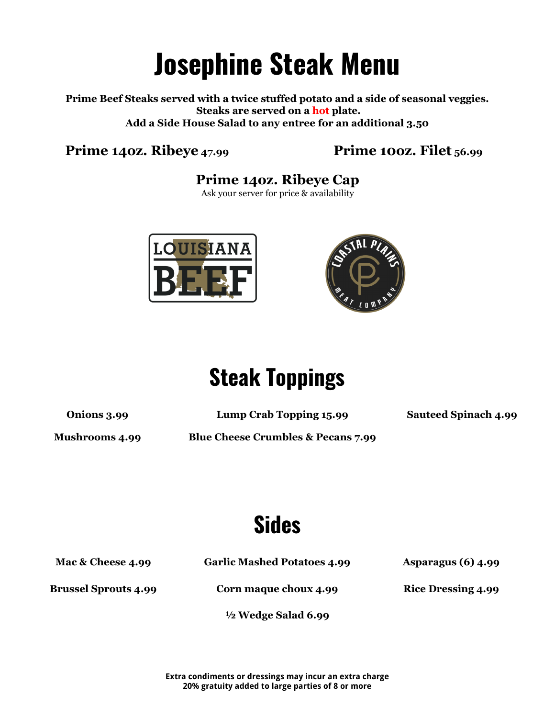# **Josephine Steak Menu**

**Prime Beef Steaks served with a twice stuffed potato and a side of seasonal veggies. Steaks are served on a hot plate. Add a Side House Salad to any entree for an additional 3.50**

#### **Prime 14oz. Ribeye 47.99 Prime 10oz. Filet 56.99**

#### **Prime 14oz. Ribeye Cap**

Ask your server for price & availability





## **Steak Toppings**

**Onions 3.99 Lump Crab Topping 15.99 Sauteed Spinach 4.99**

**Mushrooms 4.99 Blue Cheese Crumbles & Pecans 7.99**

**Sides**

**Mac & Cheese 4.99 Garlic Mashed Potatoes 4.99 Asparagus (6) 4.99**

**Brussel Sprouts 4.99 Corn maque choux 4.99 Rice Dressing 4.99**

**½ Wedge Salad 6.99**